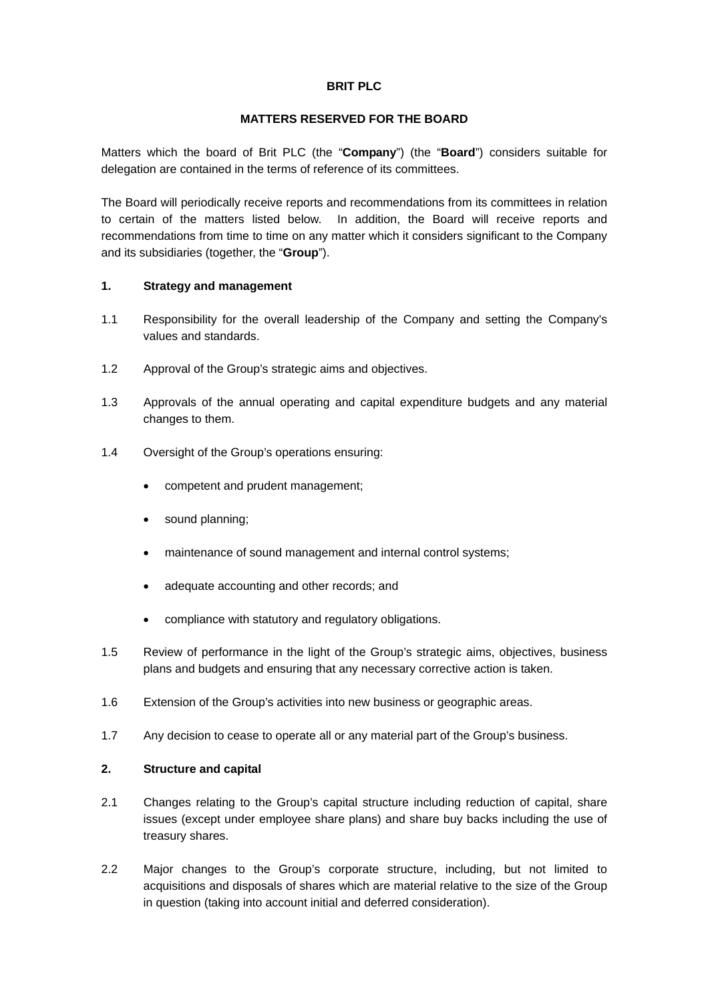## **BRIT PLC**

## **MATTERS RESERVED FOR THE BOARD**

Matters which the board of Brit PLC (the "**Company**") (the "**Board**") considers suitable for delegation are contained in the terms of reference of its committees.

The Board will periodically receive reports and recommendations from its committees in relation to certain of the matters listed below. In addition, the Board will receive reports and recommendations from time to time on any matter which it considers significant to the Company and its subsidiaries (together, the "**Group**").

# **1. Strategy and management**

- 1.1 Responsibility for the overall leadership of the Company and setting the Company's values and standards.
- 1.2 Approval of the Group's strategic aims and objectives.
- 1.3 Approvals of the annual operating and capital expenditure budgets and any material changes to them.
- 1.4 Oversight of the Group's operations ensuring:
	- competent and prudent management;
	- sound planning:
	- maintenance of sound management and internal control systems;
	- adequate accounting and other records; and
	- compliance with statutory and regulatory obligations.
- 1.5 Review of performance in the light of the Group's strategic aims, objectives, business plans and budgets and ensuring that any necessary corrective action is taken.
- 1.6 Extension of the Group's activities into new business or geographic areas.
- 1.7 Any decision to cease to operate all or any material part of the Group's business.

### **2. Structure and capital**

- 2.1 Changes relating to the Group's capital structure including reduction of capital, share issues (except under employee share plans) and share buy backs including the use of treasury shares.
- 2.2 Major changes to the Group's corporate structure, including, but not limited to acquisitions and disposals of shares which are material relative to the size of the Group in question (taking into account initial and deferred consideration).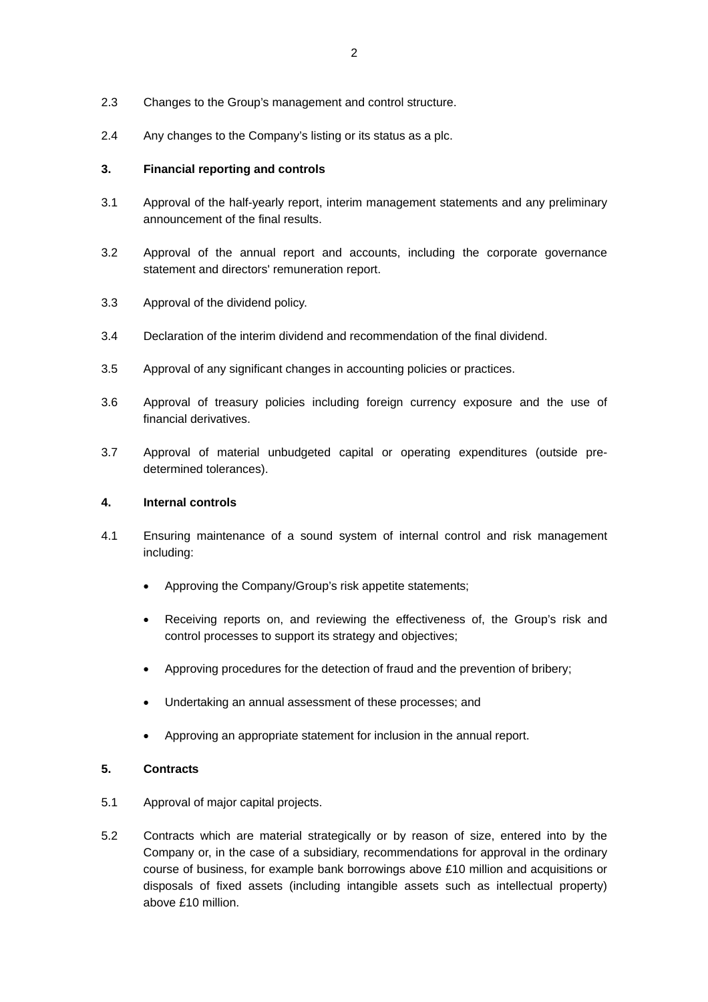- 2.3 Changes to the Group's management and control structure.
- 2.4 Any changes to the Company's listing or its status as a plc.

#### **3. Financial reporting and controls**

- 3.1 Approval of the half-yearly report, interim management statements and any preliminary announcement of the final results.
- 3.2 Approval of the annual report and accounts, including the corporate governance statement and directors' remuneration report.
- 3.3 Approval of the dividend policy.
- 3.4 Declaration of the interim dividend and recommendation of the final dividend.
- 3.5 Approval of any significant changes in accounting policies or practices.
- 3.6 Approval of treasury policies including foreign currency exposure and the use of financial derivatives.
- 3.7 Approval of material unbudgeted capital or operating expenditures (outside predetermined tolerances).

### **4. Internal controls**

- 4.1 Ensuring maintenance of a sound system of internal control and risk management including:
	- Approving the Company/Group's risk appetite statements;
	- Receiving reports on, and reviewing the effectiveness of, the Group's risk and control processes to support its strategy and objectives;
	- Approving procedures for the detection of fraud and the prevention of bribery;
	- Undertaking an annual assessment of these processes; and
	- Approving an appropriate statement for inclusion in the annual report.

#### **5. Contracts**

- 5.1 Approval of major capital projects.
- 5.2 Contracts which are material strategically or by reason of size, entered into by the Company or, in the case of a subsidiary, recommendations for approval in the ordinary course of business, for example bank borrowings above £10 million and acquisitions or disposals of fixed assets (including intangible assets such as intellectual property) above £10 million.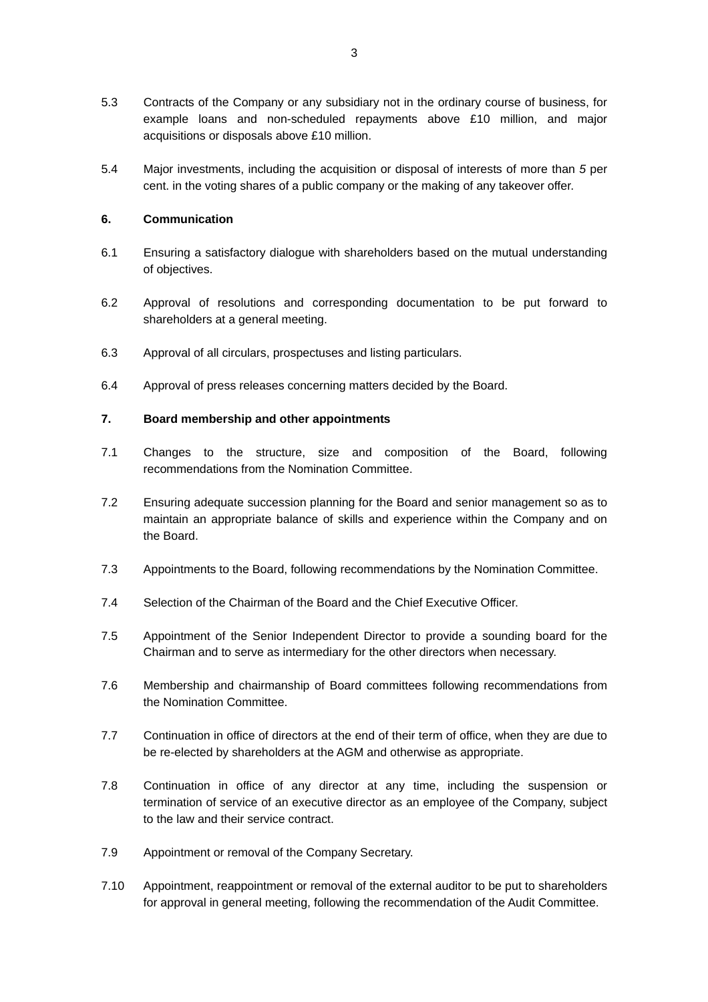- 5.3 Contracts of the Company or any subsidiary not in the ordinary course of business, for example loans and non-scheduled repayments above £10 million, and major acquisitions or disposals above £10 million.
- 5.4 Major investments, including the acquisition or disposal of interests of more than *5* per cent. in the voting shares of a public company or the making of any takeover offer.

#### **6. Communication**

- 6.1 Ensuring a satisfactory dialogue with shareholders based on the mutual understanding of objectives.
- 6.2 Approval of resolutions and corresponding documentation to be put forward to shareholders at a general meeting.
- 6.3 Approval of all circulars, prospectuses and listing particulars.
- 6.4 Approval of press releases concerning matters decided by the Board.

#### **7. Board membership and other appointments**

- 7.1 Changes to the structure, size and composition of the Board, following recommendations from the Nomination Committee.
- 7.2 Ensuring adequate succession planning for the Board and senior management so as to maintain an appropriate balance of skills and experience within the Company and on the Board.
- 7.3 Appointments to the Board, following recommendations by the Nomination Committee.
- 7.4 Selection of the Chairman of the Board and the Chief Executive Officer.
- 7.5 Appointment of the Senior Independent Director to provide a sounding board for the Chairman and to serve as intermediary for the other directors when necessary.
- 7.6 Membership and chairmanship of Board committees following recommendations from the Nomination Committee.
- 7.7 Continuation in office of directors at the end of their term of office, when they are due to be re-elected by shareholders at the AGM and otherwise as appropriate.
- 7.8 Continuation in office of any director at any time, including the suspension or termination of service of an executive director as an employee of the Company, subject to the law and their service contract.
- 7.9 Appointment or removal of the Company Secretary.
- 7.10 Appointment, reappointment or removal of the external auditor to be put to shareholders for approval in general meeting, following the recommendation of the Audit Committee.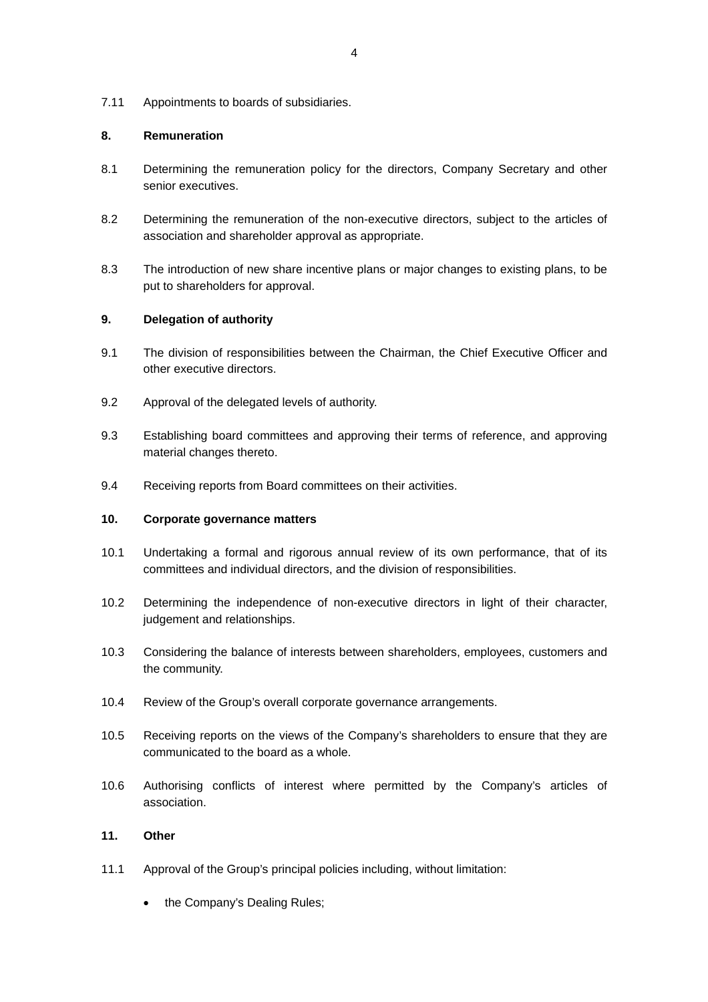7.11 Appointments to boards of subsidiaries.

### **8. Remuneration**

- 8.1 Determining the remuneration policy for the directors, Company Secretary and other senior executives.
- 8.2 Determining the remuneration of the non-executive directors, subject to the articles of association and shareholder approval as appropriate.
- 8.3 The introduction of new share incentive plans or major changes to existing plans, to be put to shareholders for approval.

# **9. Delegation of authority**

- 9.1 The division of responsibilities between the Chairman, the Chief Executive Officer and other executive directors.
- 9.2 Approval of the delegated levels of authority.
- 9.3 Establishing board committees and approving their terms of reference, and approving material changes thereto.
- 9.4 Receiving reports from Board committees on their activities.

## **10. Corporate governance matters**

- 10.1 Undertaking a formal and rigorous annual review of its own performance, that of its committees and individual directors, and the division of responsibilities.
- 10.2 Determining the independence of non-executive directors in light of their character, judgement and relationships.
- 10.3 Considering the balance of interests between shareholders, employees, customers and the community.
- 10.4 Review of the Group's overall corporate governance arrangements.
- 10.5 Receiving reports on the views of the Company's shareholders to ensure that they are communicated to the board as a whole.
- 10.6 Authorising conflicts of interest where permitted by the Company's articles of association.

# **11. Other**

- 11.1 Approval of the Group's principal policies including, without limitation:
	- the Company's Dealing Rules;